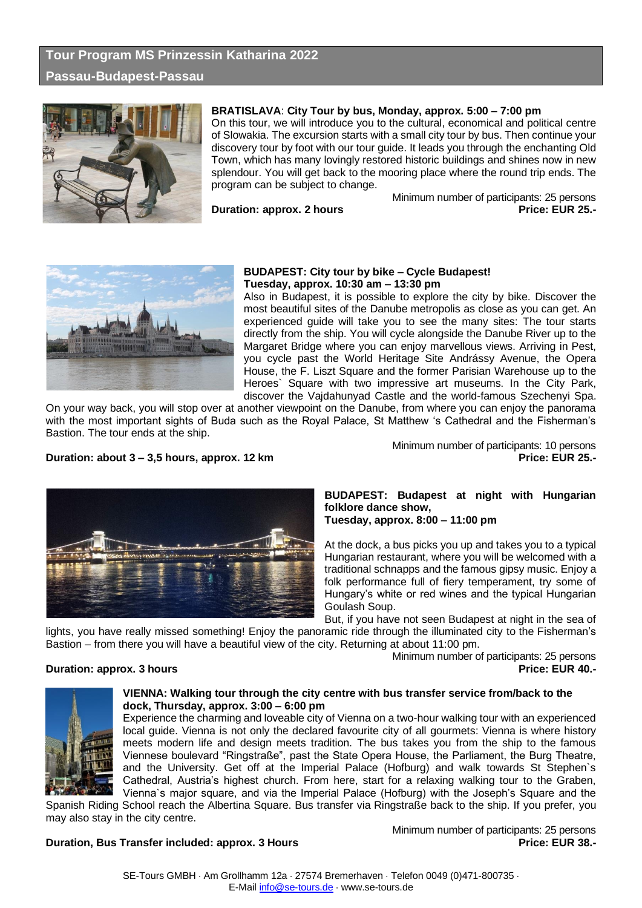# **Tour Program MS Prinzessin Katharina 2022 Passau-Budapest-Passau**



# **BRATISLAVA**: **City Tour by bus, Monday, approx. 5:00 – 7:00 pm**

On this tour, we will introduce you to the cultural, economical and political centre of Slowakia. The excursion starts with a small city tour by bus. Then continue your discovery tour by foot with our tour guide. It leads you through the enchanting Old Town, which has many lovingly restored historic buildings and shines now in new splendour. You will get back to the mooring place where the round trip ends. The program can be subject to change.

**Duration: approx. 2 hours** 

Minimum number of participants: 25 persons<br>Price: EUR 25.-



# **BUDAPEST: City tour by bike – Cycle Budapest! Tuesday, approx. 10:30 am – 13:30 pm**

Also in Budapest, it is possible to explore the city by bike. Discover the most beautiful sites of the Danube metropolis as close as you can get. An experienced guide will take you to see the many sites: The tour starts directly from the ship. You will cycle alongside the Danube River up to the Margaret Bridge where you can enjoy marvellous views. Arriving in Pest, you cycle past the World Heritage Site Andrássy Avenue, the Opera House, the F. Liszt Square and the former Parisian Warehouse up to the Heroes` Square with two impressive art museums. In the City Park, discover the Vajdahunyad Castle and the world-famous Szechenyi Spa.

On your way back, you will stop over at another viewpoint on the Danube, from where you can enjoy the panorama with the most important sights of Buda such as the Royal Palace, St Matthew 's Cathedral and the Fisherman's Bastion. The tour ends at the ship.

**Duration: about 3 – 3,5 hours, approx. 12 km** 

Minimum number of participants: 10 persons<br>Price: EUR 25.-



# **BUDAPEST: Budapest at night with Hungarian folklore dance show,**

**Tuesday, approx. 8:00 – 11:00 pm**

At the dock, a bus picks you up and takes you to a typical Hungarian restaurant, where you will be welcomed with a traditional schnapps and the famous gipsy music. Enjoy a folk performance full of fiery temperament, try some of Hungary's white or red wines and the typical Hungarian Goulash Soup.

But, if you have not seen Budapest at night in the sea of

lights, you have really missed something! Enjoy the panoramic ride through the illuminated city to the Fisherman's Bastion – from there you will have a beautiful view of the city. Returning at about 11:00 pm.

Minimum number of participants: 25 persons **Duration: approx. 3 hours Price: EUR 40.-**



# **VIENNA: Walking tour through the city centre with bus transfer service from/back to the dock, Thursday, approx. 3:00 – 6:00 pm**

Experience the charming and loveable city of Vienna on a two-hour walking tour with an experienced local guide. Vienna is not only the declared favourite city of all gourmets: Vienna is where history meets modern life and design meets tradition. The bus takes you from the ship to the famous Viennese boulevard "Ringstraße", past the State Opera House, the Parliament, the Burg Theatre, and the University. Get off at the Imperial Palace (Hofburg) and walk towards St Stephen`s Cathedral, Austria's highest church. From here, start for a relaxing walking tour to the Graben, Vienna`s major square, and via the Imperial Palace (Hofburg) with the Joseph's Square and the

Spanish Riding School reach the Albertina Square. Bus transfer via Ringstraße back to the ship. If you prefer, you may also stay in the city centre.

# **Duration, Bus Transfer included: approx. 3 Hours Price: EUR 38.- Price: EUR 38.-**

Minimum number of participants: 25 persons